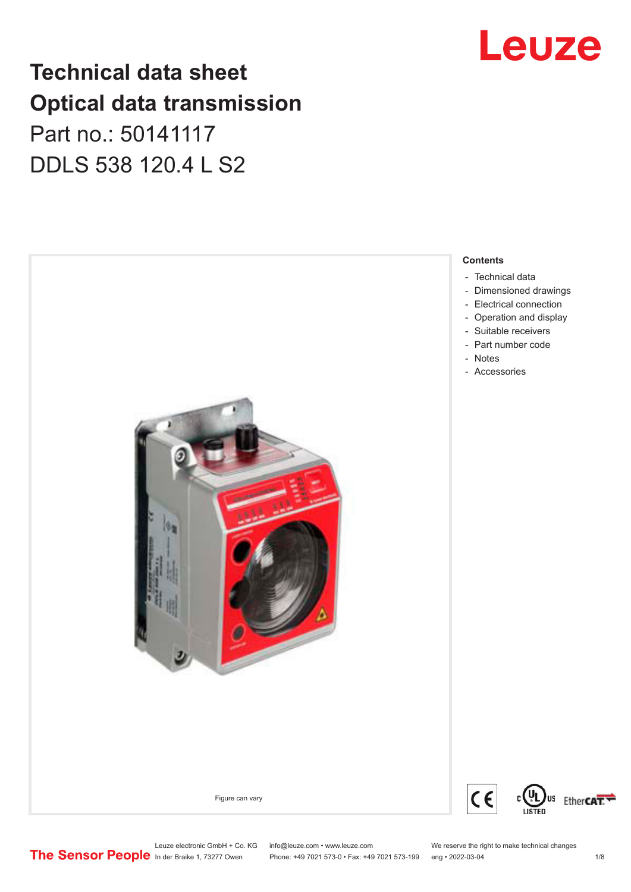### **Technical data sheet Optical data transmission**

Part no.: 50141117 DDLS 538 120.4 L S2





Leuze electronic GmbH + Co. KG info@leuze.com • www.leuze.com We reserve the right to make technical changes<br>
The Sensor People in der Braike 1, 73277 Owen Phone: +49 7021 573-0 • Fax: +49 7021 573-199 eng • 2022-03-04

Phone: +49 7021 573-0 • Fax: +49 7021 573-199 eng • 2022-03-04 1/8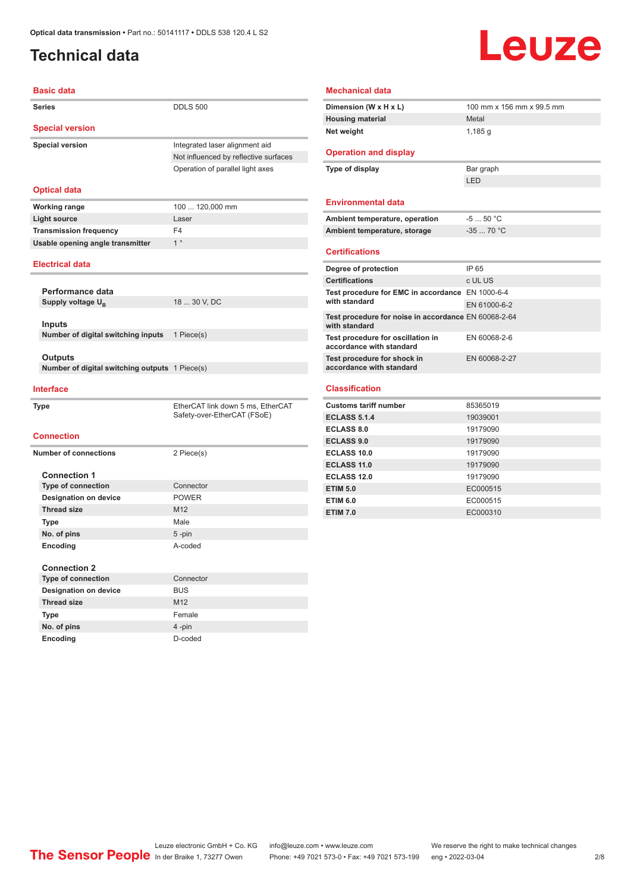### <span id="page-1-0"></span>**Technical data**

## Leuze

| <b>Basic data</b>                              |                                       |
|------------------------------------------------|---------------------------------------|
| <b>Series</b>                                  | <b>DDLS 500</b>                       |
| <b>Special version</b>                         |                                       |
| <b>Special version</b>                         | Integrated laser alignment aid        |
|                                                | Not influenced by reflective surfaces |
|                                                | Operation of parallel light axes      |
|                                                |                                       |
| <b>Optical data</b>                            |                                       |
| <b>Working range</b>                           | 100  120,000 mm                       |
| <b>Light source</b>                            | Laser                                 |
| <b>Transmission frequency</b>                  | F <sub>4</sub>                        |
| Usable opening angle transmitter               | $1^{\circ}$                           |
| <b>Electrical data</b>                         |                                       |
|                                                |                                       |
| Performance data                               |                                       |
| Supply voltage U <sub>B</sub>                  | 18  30 V, DC                          |
|                                                |                                       |
| <b>Inputs</b>                                  |                                       |
| Number of digital switching inputs             | 1 Piece(s)                            |
|                                                |                                       |
| Outputs                                        |                                       |
| Number of digital switching outputs 1 Piece(s) |                                       |
| <b>Interface</b>                               |                                       |
| <b>Type</b>                                    | EtherCAT link down 5 ms, EtherCAT     |
|                                                | Safety-over-EtherCAT (FSoE)           |
| <b>Connection</b>                              |                                       |
|                                                |                                       |
| <b>Number of connections</b>                   | 2 Piece(s)                            |
|                                                |                                       |
| <b>Connection 1</b>                            |                                       |
| <b>Type of connection</b>                      | Connector                             |
| <b>Designation on device</b>                   | <b>POWER</b>                          |
| <b>Thread size</b>                             | M12                                   |
| <b>Type</b>                                    | Male                                  |
| No. of pins                                    | $5$ -pin<br>A-coded                   |
| Encoding                                       |                                       |
| <b>Connection 2</b>                            |                                       |
| <b>Type of connection</b>                      | Connector                             |
| <b>Designation on device</b>                   | <b>BUS</b>                            |

**Type** Female **No. of pins** 4 -pin **Encoding** D-coded

| <b>Mechanical data</b>                                                |                           |
|-----------------------------------------------------------------------|---------------------------|
| Dimension (W x H x L)                                                 | 100 mm x 156 mm x 99.5 mm |
| <b>Housing material</b>                                               | Metal                     |
| Net weight                                                            | 1,185q                    |
| <b>Operation and display</b>                                          |                           |
| Type of display                                                       | Bar graph                 |
|                                                                       | LED                       |
| <b>Environmental data</b>                                             |                           |
| Ambient temperature, operation                                        | $-550 °C$                 |
| Ambient temperature, storage                                          | $-3570 °C$                |
| <b>Certifications</b>                                                 |                           |
| Degree of protection                                                  | IP 65                     |
| <b>Certifications</b>                                                 | c UL US                   |
| Test procedure for EMC in accordance EN 1000-6-4                      |                           |
| with standard                                                         | EN 61000-6-2              |
| Test procedure for noise in accordance EN 60068-2-64<br>with standard |                           |
| Test procedure for oscillation in<br>accordance with standard         | EN 60068-2-6              |
| Test procedure for shock in<br>accordance with standard               | EN 60068-2-27             |
| <b>Classification</b>                                                 |                           |
| <b>Customs tariff number</b>                                          | 85365019                  |
| <b>ECLASS 5.1.4</b>                                                   | 19039001                  |
| <b>ECLASS 8.0</b>                                                     | 19179090                  |
| <b>ECLASS 9.0</b>                                                     | 19179090                  |
| ECLASS 10.0                                                           | 19179090                  |
| <b>ECLASS 11.0</b>                                                    | 19179090                  |
| ECLASS 12.0                                                           | 19179090                  |

**ETIM 5.0** EC000515 **ETIM 6.0** EC000515 **ETIM 7.0** EC000310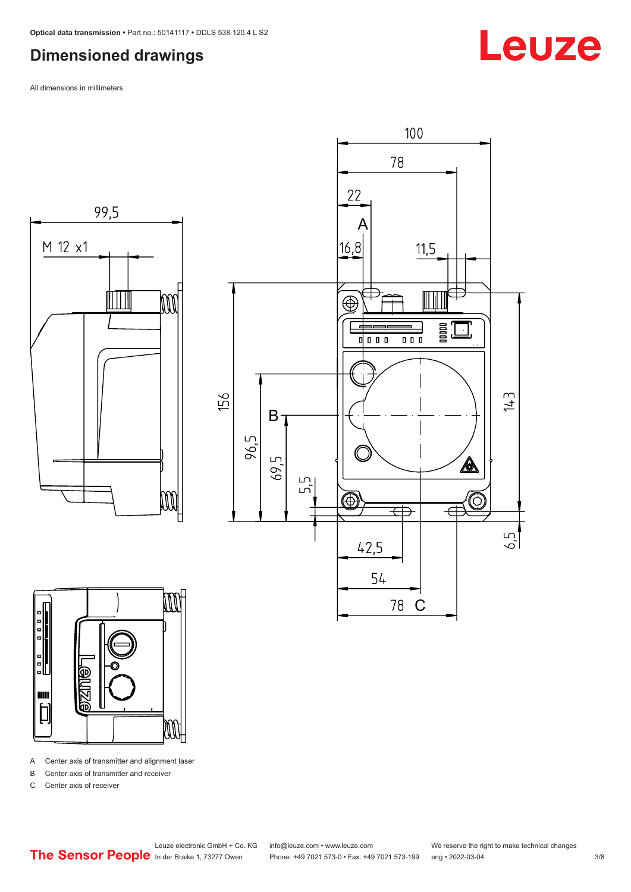### <span id="page-2-0"></span>**Dimensioned drawings**

All dimensions in millimeters







A Center axis of transmitter and alignment laser

B Center axis of transmitter and receiver

C Center axis of receiver

Leuze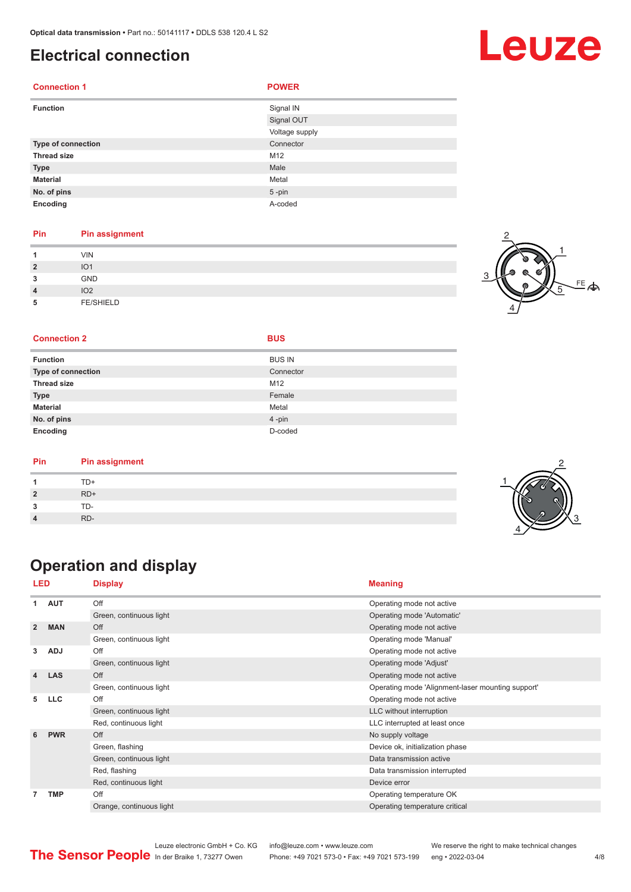### <span id="page-3-0"></span>**Electrical connection**

| <b>Connection 1</b> | <b>POWER</b>   |  |
|---------------------|----------------|--|
| <b>Function</b>     | Signal IN      |  |
|                     | Signal OUT     |  |
|                     | Voltage supply |  |
| Type of connection  | Connector      |  |
| <b>Thread size</b>  | M12            |  |
| <b>Type</b>         | Male           |  |
| <b>Material</b>     | Metal          |  |
| No. of pins         | $5 - pin$      |  |
| Encoding            | A-coded        |  |

#### **Pin Pin assignment**

| $\overline{2}$<br>3<br>$\overline{4}$ | <b>VIN</b><br>IO <sub>1</sub><br><b>GND</b><br>IO <sub>2</sub> |  |
|---------------------------------------|----------------------------------------------------------------|--|
| 5                                     | <b>FE/SHIELD</b>                                               |  |



#### **Connection 2 BUS**

| <b>Function</b>           | <b>BUS IN</b> |
|---------------------------|---------------|
| <b>Type of connection</b> | Connector     |
| <b>Thread size</b>        | M12           |
| <b>Type</b>               | Female        |
| <b>Material</b>           | Metal         |
| No. of pins               | $4 - pin$     |

| Pin | <b>Pin assignment</b> |
|-----|-----------------------|
|     | TD+                   |
|     | $RD+$                 |
|     | TD-                   |
|     | RD-                   |

### **Operation and display**

**Encoding** D-coded

| <b>LED</b>     |            | <b>Display</b>           | <b>Meaning</b>                                    |  |
|----------------|------------|--------------------------|---------------------------------------------------|--|
| 1              | <b>AUT</b> | Off                      | Operating mode not active                         |  |
|                |            | Green, continuous light  | Operating mode 'Automatic'                        |  |
| $\overline{2}$ | <b>MAN</b> | Off                      | Operating mode not active                         |  |
|                |            | Green, continuous light  | Operating mode 'Manual'                           |  |
| 3              | <b>ADJ</b> | Off                      | Operating mode not active                         |  |
|                |            | Green, continuous light  | Operating mode 'Adjust'                           |  |
| 4              | <b>LAS</b> | Off                      | Operating mode not active                         |  |
|                |            | Green, continuous light  | Operating mode 'Alignment-laser mounting support' |  |
| 5              | <b>LLC</b> | Off                      | Operating mode not active                         |  |
|                |            | Green, continuous light  | LLC without interruption                          |  |
|                |            | Red, continuous light    | LLC interrupted at least once                     |  |
| 6              | <b>PWR</b> | Off                      | No supply voltage                                 |  |
|                |            | Green, flashing          | Device ok, initialization phase                   |  |
|                |            | Green, continuous light  | Data transmission active                          |  |
|                |            | Red, flashing            | Data transmission interrupted                     |  |
|                |            | Red, continuous light    | Device error                                      |  |
| 7              | <b>TMP</b> | Off                      | Operating temperature OK                          |  |
|                |            | Orange, continuous light | Operating temperature critical                    |  |
|                |            |                          |                                                   |  |



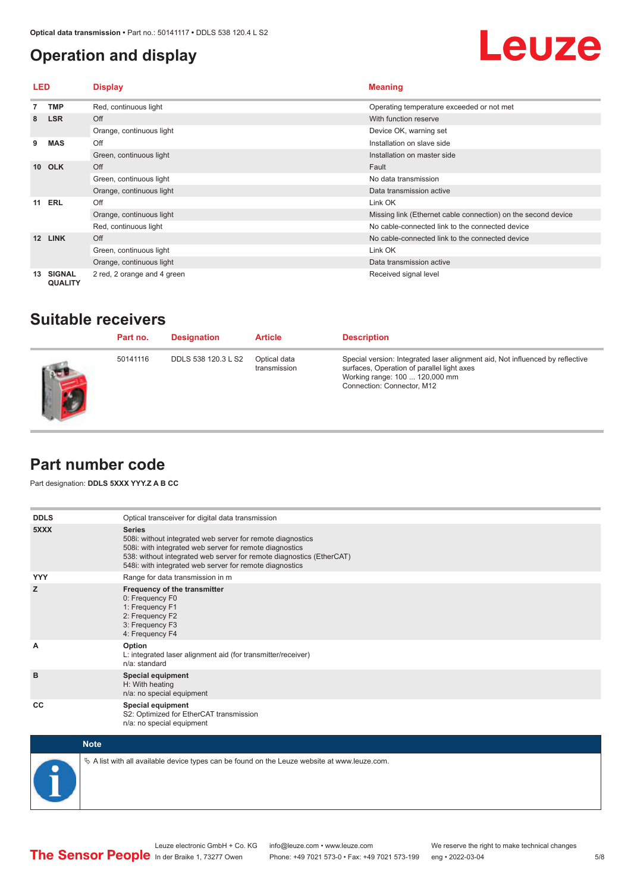### <span id="page-4-0"></span>**Operation and display**

## Leuze

| <b>LED</b>      |                                 | <b>Display</b>              | <b>Meaning</b>                                                |  |
|-----------------|---------------------------------|-----------------------------|---------------------------------------------------------------|--|
|                 | <b>TMP</b>                      | Red, continuous light       | Operating temperature exceeded or not met                     |  |
| 8               | <b>LSR</b>                      | Off                         | With function reserve                                         |  |
|                 |                                 | Orange, continuous light    | Device OK, warning set                                        |  |
| 9               | <b>MAS</b>                      | Off                         | Installation on slave side                                    |  |
|                 |                                 | Green, continuous light     | Installation on master side                                   |  |
| 10 <sup>1</sup> | <b>OLK</b>                      | Off                         | Fault                                                         |  |
|                 |                                 | Green, continuous light     | No data transmission                                          |  |
|                 |                                 | Orange, continuous light    | Data transmission active                                      |  |
| 11              | <b>ERL</b>                      | Off                         | Link OK                                                       |  |
|                 |                                 | Orange, continuous light    | Missing link (Ethernet cable connection) on the second device |  |
|                 |                                 | Red, continuous light       | No cable-connected link to the connected device               |  |
| 12              | <b>LINK</b>                     | Off                         | No cable-connected link to the connected device               |  |
|                 |                                 | Green, continuous light     | Link OK                                                       |  |
|                 |                                 | Orange, continuous light    | Data transmission active                                      |  |
| 13              | <b>SIGNAL</b><br><b>QUALITY</b> | 2 red, 2 orange and 4 green | Received signal level                                         |  |

### **Suitable receivers**

| Part no. | <b>Designation</b>  | <b>Article</b>               | <b>Description</b>                                                                                                                                                                          |
|----------|---------------------|------------------------------|---------------------------------------------------------------------------------------------------------------------------------------------------------------------------------------------|
| 50141116 | DDLS 538 120.3 L S2 | Optical data<br>transmission | Special version: Integrated laser alignment aid, Not influenced by reflective<br>surfaces, Operation of parallel light axes<br>Working range: 100  120,000 mm<br>Connection: Connector, M12 |

### **Part number code**

Part designation: **DDLS 5XXX YYY.Z A B CC**

| <b>DDLS</b> | Optical transceiver for digital data transmission                                                                                                                                                                                                                         |
|-------------|---------------------------------------------------------------------------------------------------------------------------------------------------------------------------------------------------------------------------------------------------------------------------|
| 5XXX        | <b>Series</b><br>508i: without integrated web server for remote diagnostics<br>508i: with integrated web server for remote diagnostics<br>538: without integrated web server for remote diagnostics (EtherCAT)<br>548i: with integrated web server for remote diagnostics |
| <b>YYY</b>  | Range for data transmission in m                                                                                                                                                                                                                                          |
| z           | Frequency of the transmitter<br>0: Frequency F0<br>1: Frequency F1<br>2: Frequency F2<br>3: Frequency F3<br>4: Frequency F4                                                                                                                                               |
| A           | Option<br>L: integrated laser alignment aid (for transmitter/receiver)<br>n/a: standard                                                                                                                                                                                   |
| B           | <b>Special equipment</b><br>H: With heating<br>n/a: no special equipment                                                                                                                                                                                                  |
| CC          | Special equipment<br>S2: Optimized for EtherCAT transmission<br>n/a: no special equipment                                                                                                                                                                                 |



 $\&$  A list with all available device types can be found on the Leuze website at www.leuze.com.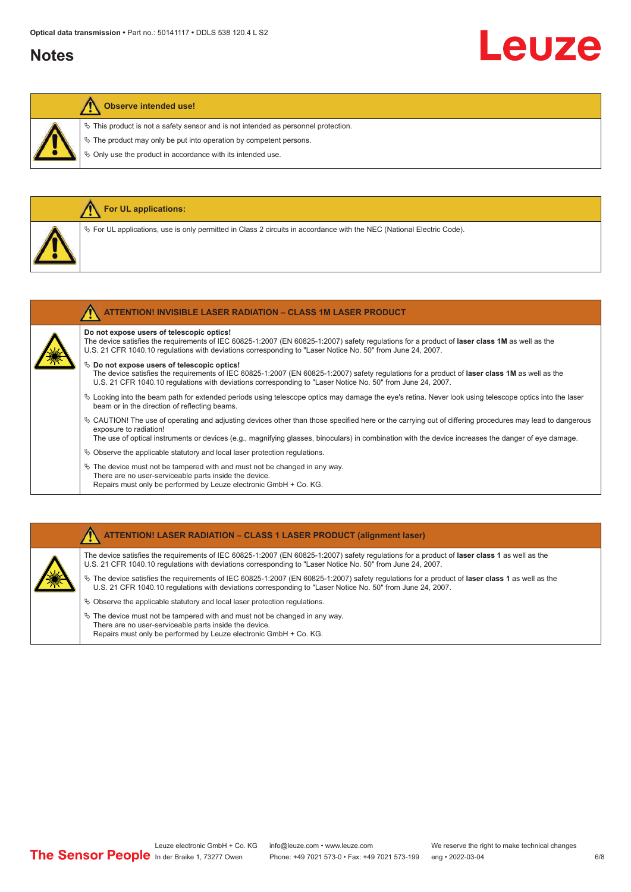### **Notes**

## Leuze

#### **Observe intended use!**

**For UL applications:**

 $\%$  This product is not a safety sensor and is not intended as personnel protection.

 $\&$  The product may only be put into operation by competent persons.

 $\%$  Only use the product in accordance with its intended use.

| $\%$ For UL applications, use is only permitted in Class 2 circuits in accordance with the NEC (National Electric Code).                                                                                                                                                                                                                                                                                                                                                                                    |
|-------------------------------------------------------------------------------------------------------------------------------------------------------------------------------------------------------------------------------------------------------------------------------------------------------------------------------------------------------------------------------------------------------------------------------------------------------------------------------------------------------------|
| <b>ATTENTION! INVISIBLE LASER RADIATION - CLASS 1M LASER PRODUCT</b>                                                                                                                                                                                                                                                                                                                                                                                                                                        |
| Do not expose users of telescopic optics!<br>The device satisfies the requirements of IEC 60825-1:2007 (EN 60825-1:2007) safety requiations for a product of laser class 1M as well as the<br>U.S. 21 CFR 1040.10 regulations with deviations corresponding to "Laser Notice No. 50" from June 24, 2007.<br>$\&$ Do not expose users of telescopic optics!<br>The device satisfies the requirements of IEC 60825-1:2007 (EN 60825-1:2007) safety requlations for a product of laser class 1M as well as the |
| U.S. 21 CFR 1040.10 regulations with deviations corresponding to "Laser Notice No. 50" from June 24, 2007.<br>$\&$ Looking into the beam path for extended periods using telescope optics may damage the eye's retina. Never look using telescope optics into the laser<br>beam or in the direction of reflecting beams.                                                                                                                                                                                    |
| $\&$ CAUTION! The use of operating and adjusting devices other than those specified here or the carrying out of differing procedures may lead to dangerous                                                                                                                                                                                                                                                                                                                                                  |

exposure to radiation! The use of optical instruments or devices (e.g., magnifying glasses, binoculars) in combination with the device increases the danger of eye damage.

 $\&$  Observe the applicable statutory and local laser protection regulations.

 $\%$  The device must not be tampered with and must not be changed in any way. There are no user-serviceable parts inside the device. Repairs must only be performed by Leuze electronic GmbH + Co. KG.

#### **ATTENTION! LASER RADIATION – CLASS 1 LASER PRODUCT (alignment laser)**

The device satisfies the requirements of IEC 60825-1:2007 (EN 60825-1:2007) safety regulations for a product of **laser class 1** as well as the U.S. 21 CFR 1040.10 regulations with deviations corresponding to "Laser Notice No. 50" from June 24, 2007.

ª The device satisfies the requirements of IEC 60825-1:2007 (EN 60825-1:2007) safety regulations for a product of **laser class 1** as well as the U.S. 21 CFR 1040.10 regulations with deviations corresponding to "Laser Notice No. 50" from June 24, 2007.

- $\%$  Observe the applicable statutory and local laser protection regulations.
- $\ddot{\phi}$  The device must not be tampered with and must not be changed in any way. There are no user-serviceable parts inside the device. Repairs must only be performed by Leuze electronic GmbH + Co. KG.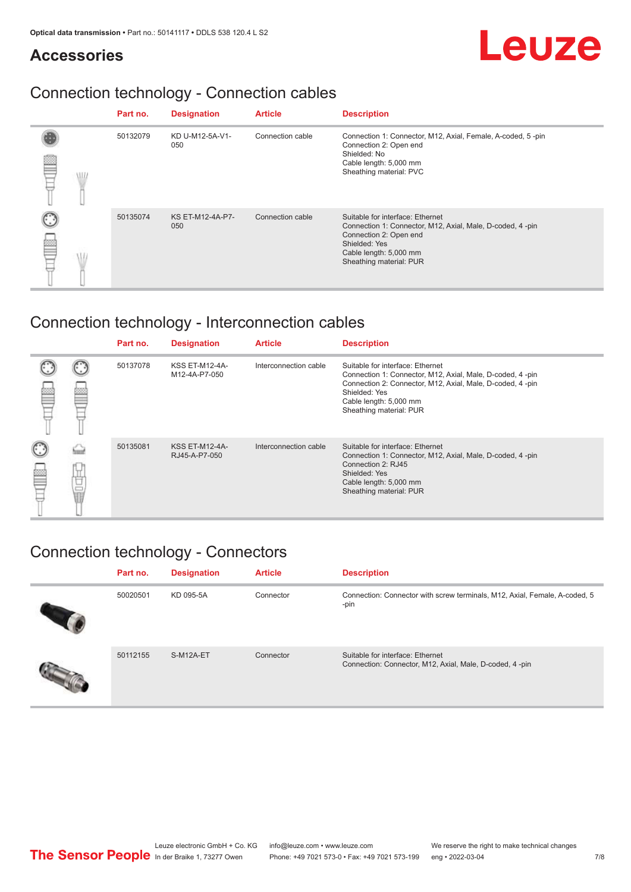### **Accessories**

# Leuze

### Connection technology - Connection cables

|   | Part no. | <b>Designation</b>             | <b>Article</b>   | <b>Description</b>                                                                                                                                                                            |
|---|----------|--------------------------------|------------------|-----------------------------------------------------------------------------------------------------------------------------------------------------------------------------------------------|
| ≝ | 50132079 | KD U-M12-5A-V1-<br>050         | Connection cable | Connection 1: Connector, M12, Axial, Female, A-coded, 5-pin<br>Connection 2: Open end<br>Shielded: No<br>Cable length: 5,000 mm<br>Sheathing material: PVC                                    |
|   | 50135074 | <b>KS ET-M12-4A-P7-</b><br>050 | Connection cable | Suitable for interface: Ethernet<br>Connection 1: Connector, M12, Axial, Male, D-coded, 4-pin<br>Connection 2: Open end<br>Shielded: Yes<br>Cable length: 5,000 mm<br>Sheathing material: PUR |

### Connection technology - Interconnection cables

|        |   | Part no. | <b>Designation</b>                     | <b>Article</b>        | <b>Description</b>                                                                                                                                                                                                               |
|--------|---|----------|----------------------------------------|-----------------------|----------------------------------------------------------------------------------------------------------------------------------------------------------------------------------------------------------------------------------|
|        |   | 50137078 | <b>KSS ET-M12-4A-</b><br>M12-4A-P7-050 | Interconnection cable | Suitable for interface: Ethernet<br>Connection 1: Connector, M12, Axial, Male, D-coded, 4-pin<br>Connection 2: Connector, M12, Axial, Male, D-coded, 4-pin<br>Shielded: Yes<br>Cable length: 5,000 mm<br>Sheathing material: PUR |
| C<br>继 | Ö | 50135081 | <b>KSS ET-M12-4A-</b><br>RJ45-A-P7-050 | Interconnection cable | Suitable for interface: Ethernet<br>Connection 1: Connector, M12, Axial, Male, D-coded, 4-pin<br>Connection 2: RJ45<br>Shielded: Yes<br>Cable length: 5,000 mm<br>Sheathing material: PUR                                        |

### Connection technology - Connectors

| Part no. | <b>Designation</b> | <b>Article</b> | <b>Description</b>                                                                          |
|----------|--------------------|----------------|---------------------------------------------------------------------------------------------|
| 50020501 | KD 095-5A          | Connector      | Connection: Connector with screw terminals, M12, Axial, Female, A-coded, 5<br>-pin          |
| 50112155 | S-M12A-ET          | Connector      | Suitable for interface: Ethernet<br>Connection: Connector, M12, Axial, Male, D-coded, 4-pin |